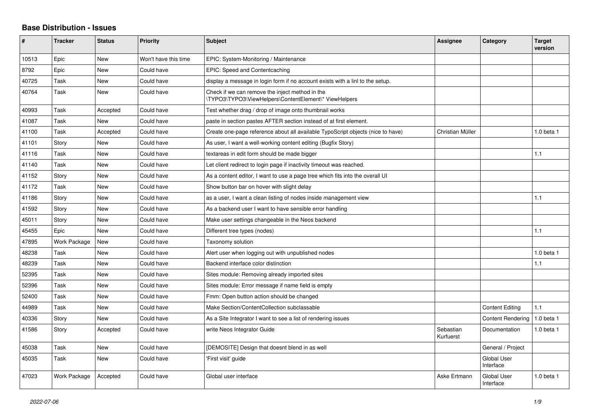## **Base Distribution - Issues**

| #     | <b>Tracker</b>      | <b>Status</b> | <b>Priority</b>      | <b>Subject</b>                                                                                           | Assignee               | Category                        | <b>Target</b><br>version |
|-------|---------------------|---------------|----------------------|----------------------------------------------------------------------------------------------------------|------------------------|---------------------------------|--------------------------|
| 10513 | Epic                | <b>New</b>    | Won't have this time | EPIC: System-Monitoring / Maintenance                                                                    |                        |                                 |                          |
| 8792  | Epic                | New           | Could have           | EPIC: Speed and Contentcaching                                                                           |                        |                                 |                          |
| 40725 | Task                | New           | Could have           | display a message in login form if no account exists with a linl to the setup.                           |                        |                                 |                          |
| 40764 | Task                | <b>New</b>    | Could have           | Check if we can remove the inject method in the<br>\TYPO3\TYPO3\ViewHelpers\ContentElement\* ViewHelpers |                        |                                 |                          |
| 40993 | Task                | Accepted      | Could have           | Test whether drag / drop of image onto thumbnail works                                                   |                        |                                 |                          |
| 41087 | Task                | New           | Could have           | paste in section pastes AFTER section instead of at first element.                                       |                        |                                 |                          |
| 41100 | Task                | Accepted      | Could have           | Create one-page reference about all available TypoScript objects (nice to have)                          | Christian Müller       |                                 | 1.0 beta 1               |
| 41101 | Story               | <b>New</b>    | Could have           | As user, I want a well-working content editing (Bugfix Story)                                            |                        |                                 |                          |
| 41116 | Task                | <b>New</b>    | Could have           | textareas in edit form should be made bigger                                                             |                        |                                 | 1.1                      |
| 41140 | Task                | <b>New</b>    | Could have           | Let client redirect to login page if inactivity timeout was reached.                                     |                        |                                 |                          |
| 41152 | Story               | <b>New</b>    | Could have           | As a content editor, I want to use a page tree which fits into the overall UI                            |                        |                                 |                          |
| 41172 | Task                | New           | Could have           | Show button bar on hover with slight delay                                                               |                        |                                 |                          |
| 41186 | Story               | <b>New</b>    | Could have           | as a user, I want a clean listing of nodes inside management view                                        |                        |                                 | 1.1                      |
| 41592 | Story               | <b>New</b>    | Could have           | As a backend user I want to have sensible error handling                                                 |                        |                                 |                          |
| 45011 | Story               | New           | Could have           | Make user settings changeable in the Neos backend                                                        |                        |                                 |                          |
| 45455 | Epic                | New           | Could have           | Different tree types (nodes)                                                                             |                        |                                 | 1.1                      |
| 47895 | <b>Work Package</b> | <b>New</b>    | Could have           | Taxonomy solution                                                                                        |                        |                                 |                          |
| 48238 | Task                | New           | Could have           | Alert user when logging out with unpublished nodes                                                       |                        |                                 | 1.0 beta 1               |
| 48239 | Task                | New           | Could have           | Backend interface color distinction                                                                      |                        |                                 | 1.1                      |
| 52395 | Task                | <b>New</b>    | Could have           | Sites module: Removing already imported sites                                                            |                        |                                 |                          |
| 52396 | Task                | New           | Could have           | Sites module: Error message if name field is empty                                                       |                        |                                 |                          |
| 52400 | Task                | New           | Could have           | Fmm: Open button action should be changed                                                                |                        |                                 |                          |
| 44989 | Task                | <b>New</b>    | Could have           | Make Section/ContentCollection subclassable                                                              |                        | <b>Content Editing</b>          | 1.1                      |
| 40336 | Story               | New           | Could have           | As a Site Integrator I want to see a list of rendering issues                                            |                        | <b>Content Rendering</b>        | 1.0 beta 1               |
| 41586 | Story               | Accepted      | Could have           | write Neos Integrator Guide                                                                              | Sebastian<br>Kurfuerst | Documentation                   | $1.0$ beta $1$           |
| 45038 | Task                | <b>New</b>    | Could have           | [DEMOSITE] Design that doesnt blend in as well                                                           |                        | General / Project               |                          |
| 45035 | Task                | <b>New</b>    | Could have           | 'First visit' guide                                                                                      |                        | <b>Global User</b><br>Interface |                          |
| 47023 | Work Package        | Accepted      | Could have           | Global user interface                                                                                    | Aske Ertmann           | <b>Global User</b><br>Interface | $1.0$ beta $1$           |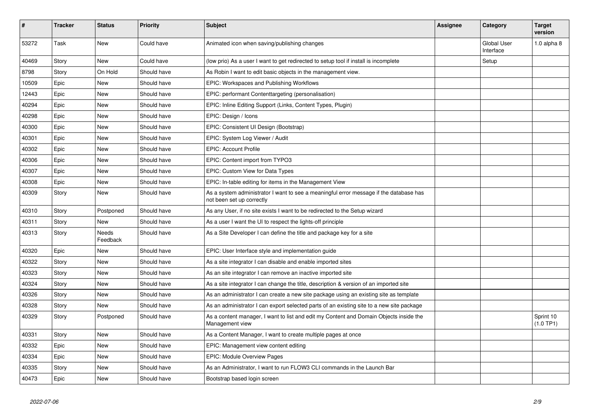| ∦     | <b>Tracker</b> | <b>Status</b>            | <b>Priority</b> | <b>Subject</b>                                                                                                      | Assignee | Category                        | <b>Target</b><br>version |
|-------|----------------|--------------------------|-----------------|---------------------------------------------------------------------------------------------------------------------|----------|---------------------------------|--------------------------|
| 53272 | Task           | <b>New</b>               | Could have      | Animated icon when saving/publishing changes                                                                        |          | <b>Global User</b><br>Interface | $1.0$ alpha $8$          |
| 40469 | Story          | New                      | Could have      | (low prio) As a user I want to get redirected to setup tool if install is incomplete                                |          | Setup                           |                          |
| 8798  | Story          | On Hold                  | Should have     | As Robin I want to edit basic objects in the management view.                                                       |          |                                 |                          |
| 10509 | Epic           | <b>New</b>               | Should have     | EPIC: Workspaces and Publishing Workflows                                                                           |          |                                 |                          |
| 12443 | Epic           | New                      | Should have     | EPIC: performant Contenttargeting (personalisation)                                                                 |          |                                 |                          |
| 40294 | Epic           | <b>New</b>               | Should have     | EPIC: Inline Editing Support (Links, Content Types, Plugin)                                                         |          |                                 |                          |
| 40298 | Epic           | <b>New</b>               | Should have     | EPIC: Design / Icons                                                                                                |          |                                 |                          |
| 40300 | Epic           | <b>New</b>               | Should have     | EPIC: Consistent UI Design (Bootstrap)                                                                              |          |                                 |                          |
| 40301 | Epic           | <b>New</b>               | Should have     | EPIC: System Log Viewer / Audit                                                                                     |          |                                 |                          |
| 40302 | Epic           | <b>New</b>               | Should have     | <b>EPIC: Account Profile</b>                                                                                        |          |                                 |                          |
| 40306 | Epic           | <b>New</b>               | Should have     | EPIC: Content import from TYPO3                                                                                     |          |                                 |                          |
| 40307 | Epic           | <b>New</b>               | Should have     | EPIC: Custom View for Data Types                                                                                    |          |                                 |                          |
| 40308 | Epic           | <b>New</b>               | Should have     | EPIC: In-table editing for items in the Management View                                                             |          |                                 |                          |
| 40309 | Story          | <b>New</b>               | Should have     | As a system administrator I want to see a meaningful error message if the database has<br>not been set up correctly |          |                                 |                          |
| 40310 | Story          | Postponed                | Should have     | As any User, if no site exists I want to be redirected to the Setup wizard                                          |          |                                 |                          |
| 40311 | Story          | <b>New</b>               | Should have     | As a user I want the UI to respect the lights-off principle                                                         |          |                                 |                          |
| 40313 | Story          | <b>Needs</b><br>Feedback | Should have     | As a Site Developer I can define the title and package key for a site                                               |          |                                 |                          |
| 40320 | Epic           | <b>New</b>               | Should have     | EPIC: User Interface style and implementation guide                                                                 |          |                                 |                          |
| 40322 | Story          | <b>New</b>               | Should have     | As a site integrator I can disable and enable imported sites                                                        |          |                                 |                          |
| 40323 | Story          | <b>New</b>               | Should have     | As an site integrator I can remove an inactive imported site                                                        |          |                                 |                          |
| 40324 | Story          | <b>New</b>               | Should have     | As a site integrator I can change the title, description & version of an imported site                              |          |                                 |                          |
| 40326 | Story          | New                      | Should have     | As an administrator I can create a new site package using an existing site as template                              |          |                                 |                          |
| 40328 | Story          | New                      | Should have     | As an administrator I can export selected parts of an existing site to a new site package                           |          |                                 |                          |
| 40329 | Story          | Postponed                | Should have     | As a content manager, I want to list and edit my Content and Domain Objects inside the<br>Management view           |          |                                 | Sprint 10<br>$(1.0$ TP1) |
| 40331 | Story          | <b>New</b>               | Should have     | As a Content Manager, I want to create multiple pages at once                                                       |          |                                 |                          |
| 40332 | Epic           | <b>New</b>               | Should have     | EPIC: Management view content editing                                                                               |          |                                 |                          |
| 40334 | Epic           | New                      | Should have     | EPIC: Module Overview Pages                                                                                         |          |                                 |                          |
| 40335 | Story          | New                      | Should have     | As an Administrator, I want to run FLOW3 CLI commands in the Launch Bar                                             |          |                                 |                          |
| 40473 | Epic           | New                      | Should have     | Bootstrap based login screen                                                                                        |          |                                 |                          |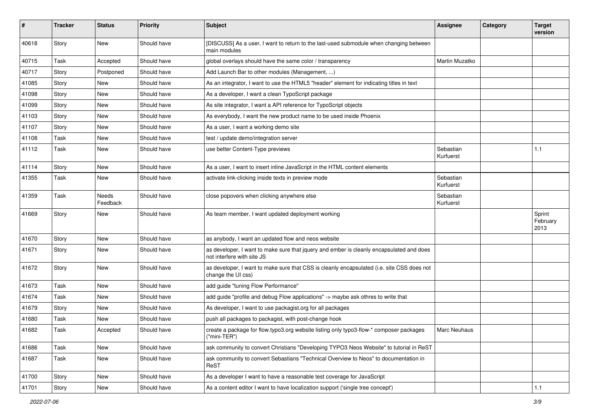| $\pmb{\#}$ | <b>Tracker</b> | <b>Status</b>     | <b>Priority</b> | <b>Subject</b>                                                                                                         | <b>Assignee</b>        | Category | <b>Target</b><br>version   |
|------------|----------------|-------------------|-----------------|------------------------------------------------------------------------------------------------------------------------|------------------------|----------|----------------------------|
| 40618      | Story          | <b>New</b>        | Should have     | [DISCUSS] As a user, I want to return to the last-used submodule when changing between<br>main modules                 |                        |          |                            |
| 40715      | Task           | Accepted          | Should have     | global overlays should have the same color / transparency                                                              | Martin Muzatko         |          |                            |
| 40717      | Story          | Postponed         | Should have     | Add Launch Bar to other modules (Management, )                                                                         |                        |          |                            |
| 41085      | Story          | New               | Should have     | As an integrator, I want to use the HTML5 "header" element for indicating titles in text                               |                        |          |                            |
| 41098      | Story          | <b>New</b>        | Should have     | As a developer, I want a clean TypoScript package                                                                      |                        |          |                            |
| 41099      | Story          | <b>New</b>        | Should have     | As site integrator, I want a API reference for TypoScript objects                                                      |                        |          |                            |
| 41103      | Story          | New               | Should have     | As everybody, I want the new product name to be used inside Phoenix                                                    |                        |          |                            |
| 41107      | Story          | <b>New</b>        | Should have     | As a user, I want a working demo site                                                                                  |                        |          |                            |
| 41108      | Task           | <b>New</b>        | Should have     | test / update demo/integration server                                                                                  |                        |          |                            |
| 41112      | Task           | New               | Should have     | use better Content-Type previews                                                                                       | Sebastian<br>Kurfuerst |          | 1.1                        |
| 41114      | Story          | <b>New</b>        | Should have     | As a user, I want to insert inline JavaScript in the HTML content elements                                             |                        |          |                            |
| 41355      | Task           | <b>New</b>        | Should have     | activate link-clicking inside texts in preview mode                                                                    | Sebastian<br>Kurfuerst |          |                            |
| 41359      | Task           | Needs<br>Feedback | Should have     | close popovers when clicking anywhere else                                                                             | Sebastian<br>Kurfuerst |          |                            |
| 41669      | Story          | New               | Should have     | As team member, I want updated deployment working                                                                      |                        |          | Sprint<br>February<br>2013 |
| 41670      | Story          | <b>New</b>        | Should have     | as anybody, I want an updated flow and neos website                                                                    |                        |          |                            |
| 41671      | Story          | New               | Should have     | as developer, I want to make sure that jquery and ember is cleanly encapsulated and does<br>not interfere with site JS |                        |          |                            |
| 41672      | Story          | New               | Should have     | as developer, I want to make sure that CSS is cleanly encapsulated (i.e. site CSS does not<br>change the UI css)       |                        |          |                            |
| 41673      | Task           | New               | Should have     | add guide "tuning Flow Performance"                                                                                    |                        |          |                            |
| 41674      | Task           | New               | Should have     | add guide "profile and debug Flow applications" -> maybe ask othres to write that                                      |                        |          |                            |
| 41679      | Story          | New               | Should have     | As developer, I want to use packagist.org for all packages                                                             |                        |          |                            |
| 41680      | Task           | New               | Should have     | push all packages to packagist, with post-change hook                                                                  |                        |          |                            |
| 41682      | Task           | Accepted          | Should have     | create a package for flow.typo3.org website listing only typo3-flow-* composer packages<br>$('mini-TER")$              | Marc Neuhaus           |          |                            |
| 41686      | Task           | New               | Should have     | ask community to convert Christians "Developing TYPO3 Neos Website" to tutorial in ReST                                |                        |          |                            |
| 41687      | Task           | New               | Should have     | ask community to convert Sebastians "Technical Overview to Neos" to documentation in<br>ReST                           |                        |          |                            |
| 41700      | Story          | New               | Should have     | As a developer I want to have a reasonable test coverage for JavaScript                                                |                        |          |                            |
| 41701      | Story          | New               | Should have     | As a content editor I want to have localization support ('single tree concept')                                        |                        |          | $1.1$                      |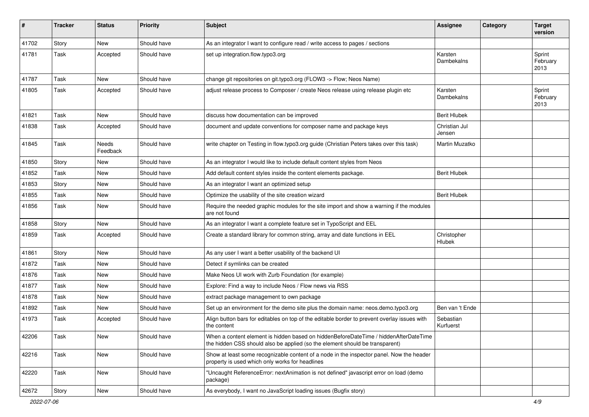| $\sharp$ | <b>Tracker</b> | <b>Status</b>     | <b>Priority</b> | <b>Subject</b>                                                                                                                                                       | <b>Assignee</b>         | Category | <b>Target</b><br>version   |
|----------|----------------|-------------------|-----------------|----------------------------------------------------------------------------------------------------------------------------------------------------------------------|-------------------------|----------|----------------------------|
| 41702    | Story          | New               | Should have     | As an integrator I want to configure read / write access to pages / sections                                                                                         |                         |          |                            |
| 41781    | Task           | Accepted          | Should have     | set up integration.flow.typo3.org                                                                                                                                    | Karsten<br>Dambekalns   |          | Sprint<br>February<br>2013 |
| 41787    | Task           | New               | Should have     | change git repositories on git.typo3.org (FLOW3 -> Flow; Neos Name)                                                                                                  |                         |          |                            |
| 41805    | Task           | Accepted          | Should have     | adjust release process to Composer / create Neos release using release plugin etc                                                                                    | Karsten<br>Dambekalns   |          | Sprint<br>February<br>2013 |
| 41821    | Task           | New               | Should have     | discuss how documentation can be improved                                                                                                                            | <b>Berit Hlubek</b>     |          |                            |
| 41838    | Task           | Accepted          | Should have     | document and update conventions for composer name and package keys                                                                                                   | Christian Jul<br>Jensen |          |                            |
| 41845    | Task           | Needs<br>Feedback | Should have     | write chapter on Testing in flow.typo3.org guide (Christian Peters takes over this task)                                                                             | Martin Muzatko          |          |                            |
| 41850    | Story          | New               | Should have     | As an integrator I would like to include default content styles from Neos                                                                                            |                         |          |                            |
| 41852    | Task           | <b>New</b>        | Should have     | Add default content styles inside the content elements package.                                                                                                      | <b>Berit Hlubek</b>     |          |                            |
| 41853    | Story          | <b>New</b>        | Should have     | As an integrator I want an optimized setup                                                                                                                           |                         |          |                            |
| 41855    | Task           | <b>New</b>        | Should have     | Optimize the usability of the site creation wizard                                                                                                                   | <b>Berit Hlubek</b>     |          |                            |
| 41856    | Task           | New               | Should have     | Require the needed graphic modules for the site import and show a warning if the modules<br>are not found                                                            |                         |          |                            |
| 41858    | Story          | New               | Should have     | As an integrator I want a complete feature set in TypoScript and EEL                                                                                                 |                         |          |                            |
| 41859    | Task           | Accepted          | Should have     | Create a standard library for common string, array and date functions in EEL                                                                                         | Christopher<br>Hlubek   |          |                            |
| 41861    | Story          | <b>New</b>        | Should have     | As any user I want a better usability of the backend UI                                                                                                              |                         |          |                            |
| 41872    | Task           | New               | Should have     | Detect if symlinks can be created                                                                                                                                    |                         |          |                            |
| 41876    | Task           | <b>New</b>        | Should have     | Make Neos UI work with Zurb Foundation (for example)                                                                                                                 |                         |          |                            |
| 41877    | Task           | New               | Should have     | Explore: Find a way to include Neos / Flow news via RSS                                                                                                              |                         |          |                            |
| 41878    | Task           | <b>New</b>        | Should have     | extract package management to own package                                                                                                                            |                         |          |                            |
| 41892    | Task           | New               | Should have     | Set up an environment for the demo site plus the domain name: neos.demo.typo3.org                                                                                    | Ben van 't Ende         |          |                            |
| 41973    | Task           | Accepted          | Should have     | Align button bars for editables on top of the editable border to prevent overlay issues with<br>the content                                                          | Sebastian<br>Kurfuerst  |          |                            |
| 42206    | Task           | New               | Should have     | When a content element is hidden based on hiddenBeforeDateTime / hiddenAfterDateTime<br>the hidden CSS should also be applied (so the element should be transparent) |                         |          |                            |
| 42216    | Task           | New               | Should have     | Show at least some recognizable content of a node in the inspector panel. Now the header<br>property is used which only works for headlines                          |                         |          |                            |
| 42220    | Task           | New               | Should have     | "Uncaught ReferenceError: nextAnimation is not defined" javascript error on load (demo<br>package)                                                                   |                         |          |                            |
| 42672    | Story          | New               | Should have     | As everybody, I want no JavaScript loading issues (Bugfix story)                                                                                                     |                         |          |                            |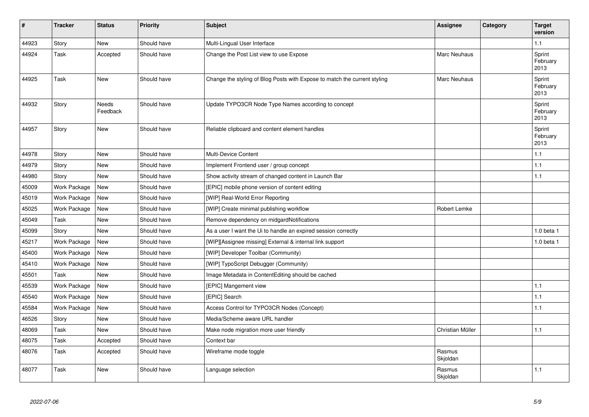| #     | <b>Tracker</b> | <b>Status</b>     | <b>Priority</b> | <b>Subject</b>                                                            | Assignee            | Category | <b>Target</b><br>version   |
|-------|----------------|-------------------|-----------------|---------------------------------------------------------------------------|---------------------|----------|----------------------------|
| 44923 | Story          | <b>New</b>        | Should have     | Multi-Lingual User Interface                                              |                     |          | 1.1                        |
| 44924 | Task           | Accepted          | Should have     | Change the Post List view to use Expose                                   | <b>Marc Neuhaus</b> |          | Sprint<br>February<br>2013 |
| 44925 | Task           | New               | Should have     | Change the styling of Blog Posts with Expose to match the current styling | Marc Neuhaus        |          | Sprint<br>February<br>2013 |
| 44932 | Story          | Needs<br>Feedback | Should have     | Update TYPO3CR Node Type Names according to concept                       |                     |          | Sprint<br>February<br>2013 |
| 44957 | Story          | <b>New</b>        | Should have     | Reliable clipboard and content element handles                            |                     |          | Sprint<br>February<br>2013 |
| 44978 | Story          | <b>New</b>        | Should have     | <b>Multi-Device Content</b>                                               |                     |          | 1.1                        |
| 44979 | Story          | <b>New</b>        | Should have     | Implement Frontend user / group concept                                   |                     |          | 1.1                        |
| 44980 | Story          | New               | Should have     | Show activity stream of changed content in Launch Bar                     |                     |          | 1.1                        |
| 45009 | Work Package   | <b>New</b>        | Should have     | [EPIC] mobile phone version of content editing                            |                     |          |                            |
| 45019 | Work Package   | <b>New</b>        | Should have     | [WIP] Real-World Error Reporting                                          |                     |          |                            |
| 45025 | Work Package   | <b>New</b>        | Should have     | [WIP] Create minimal publishing workflow                                  | Robert Lemke        |          |                            |
| 45049 | Task           | <b>New</b>        | Should have     | Remove dependency on midgardNotifications                                 |                     |          |                            |
| 45099 | Story          | New               | Should have     | As a user I want the Ui to handle an expired session correctly            |                     |          | 1.0 beta 1                 |
| 45217 | Work Package   | <b>New</b>        | Should have     | [WIP][Assignee missing] External & internal link support                  |                     |          | 1.0 beta 1                 |
| 45400 | Work Package   | New               | Should have     | [WIP] Developer Toolbar (Community)                                       |                     |          |                            |
| 45410 | Work Package   | <b>New</b>        | Should have     | [WIP] TypoScript Debugger (Community)                                     |                     |          |                            |
| 45501 | Task           | <b>New</b>        | Should have     | Image Metadata in ContentEditing should be cached                         |                     |          |                            |
| 45539 | Work Package   | New               | Should have     | [EPIC] Mangement view                                                     |                     |          | 1.1                        |
| 45540 | Work Package   | New               | Should have     | [EPIC] Search                                                             |                     |          | 1.1                        |
| 45584 | Work Package   | <b>New</b>        | Should have     | Access Control for TYPO3CR Nodes (Concept)                                |                     |          | 1.1                        |
| 46526 | Story          | <b>New</b>        | Should have     | Media/Scheme aware URL handler                                            |                     |          |                            |
| 48069 | Task           | <b>New</b>        | Should have     | Make node migration more user friendly                                    | Christian Müller    |          | 1.1                        |
| 48075 | Task           | Accepted          | Should have     | Context bar                                                               |                     |          |                            |
| 48076 | Task           | Accepted          | Should have     | Wireframe mode toggle                                                     | Rasmus<br>Skjoldan  |          |                            |
| 48077 | Task           | <b>New</b>        | Should have     | Language selection                                                        | Rasmus<br>Skjoldan  |          | 1.1                        |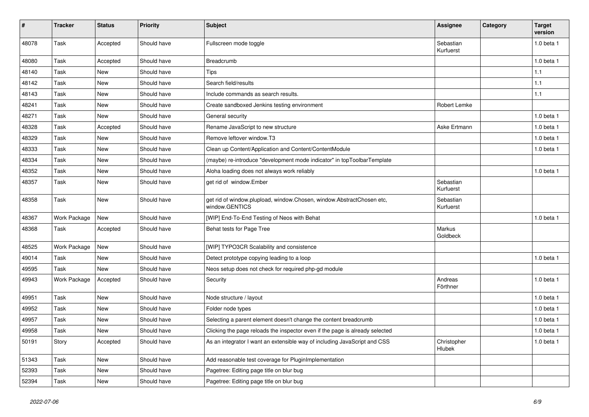| #     | <b>Tracker</b> | <b>Status</b> | Priority    | <b>Subject</b>                                                                          | <b>Assignee</b>        | Category | <b>Target</b><br>version |
|-------|----------------|---------------|-------------|-----------------------------------------------------------------------------------------|------------------------|----------|--------------------------|
| 48078 | Task           | Accepted      | Should have | Fullscreen mode toggle                                                                  | Sebastian<br>Kurfuerst |          | 1.0 beta 1               |
| 48080 | Task           | Accepted      | Should have | Breadcrumb                                                                              |                        |          | 1.0 beta 1               |
| 48140 | Task           | New           | Should have | <b>Tips</b>                                                                             |                        |          | 1.1                      |
| 48142 | Task           | New           | Should have | Search field/results                                                                    |                        |          | 1.1                      |
| 48143 | Task           | <b>New</b>    | Should have | Include commands as search results.                                                     |                        |          | 1.1                      |
| 48241 | Task           | New           | Should have | Create sandboxed Jenkins testing environment                                            | Robert Lemke           |          |                          |
| 48271 | Task           | New           | Should have | General security                                                                        |                        |          | 1.0 beta 1               |
| 48328 | Task           | Accepted      | Should have | Rename JavaScript to new structure                                                      | Aske Ertmann           |          | 1.0 beta 1               |
| 48329 | Task           | New           | Should have | Remove leftover window.T3                                                               |                        |          | 1.0 beta 1               |
| 48333 | Task           | <b>New</b>    | Should have | Clean up Content/Application and Content/ContentModule                                  |                        |          | 1.0 beta 1               |
| 48334 | Task           | New           | Should have | (maybe) re-introduce "development mode indicator" in topToolbarTemplate                 |                        |          |                          |
| 48352 | Task           | New           | Should have | Aloha loading does not always work reliably                                             |                        |          | 1.0 beta 1               |
| 48357 | Task           | <b>New</b>    | Should have | get rid of window.Ember                                                                 | Sebastian<br>Kurfuerst |          |                          |
| 48358 | Task           | <b>New</b>    | Should have | get rid of window.plupload, window.Chosen, window.AbstractChosen etc,<br>window.GENTICS | Sebastian<br>Kurfuerst |          |                          |
| 48367 | Work Package   | <b>New</b>    | Should have | [WIP] End-To-End Testing of Neos with Behat                                             |                        |          | 1.0 beta 1               |
| 48368 | Task           | Accepted      | Should have | Behat tests for Page Tree                                                               | Markus<br>Goldbeck     |          |                          |
| 48525 | Work Package   | <b>New</b>    | Should have | [WIP] TYPO3CR Scalability and consistence                                               |                        |          |                          |
| 49014 | Task           | <b>New</b>    | Should have | Detect prototype copying leading to a loop                                              |                        |          | 1.0 beta 1               |
| 49595 | Task           | <b>New</b>    | Should have | Neos setup does not check for required php-gd module                                    |                        |          |                          |
| 49943 | Work Package   | Accepted      | Should have | Security                                                                                | Andreas<br>Förthner    |          | 1.0 beta 1               |
| 49951 | Task           | New           | Should have | Node structure / layout                                                                 |                        |          | 1.0 beta 1               |
| 49952 | Task           | New           | Should have | Folder node types                                                                       |                        |          | $1.0$ beta $1$           |
| 49957 | Task           | New           | Should have | Selecting a parent element doesn't change the content breadcrumb                        |                        |          | 1.0 beta 1               |
| 49958 | Task           | New           | Should have | Clicking the page reloads the inspector even if the page is already selected            |                        |          | 1.0 beta 1               |
| 50191 | Story          | Accepted      | Should have | As an integrator I want an extensible way of including JavaScript and CSS               | Christopher<br>Hlubek  |          | 1.0 beta 1               |
| 51343 | Task           | New           | Should have | Add reasonable test coverage for PluginImplementation                                   |                        |          |                          |
| 52393 | Task           | New           | Should have | Pagetree: Editing page title on blur bug                                                |                        |          |                          |
| 52394 | Task           | New           | Should have | Pagetree: Editing page title on blur bug                                                |                        |          |                          |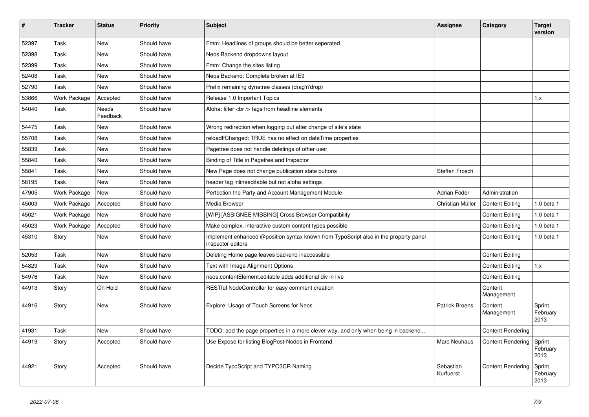| #     | <b>Tracker</b> | <b>Status</b>            | <b>Priority</b> | <b>Subject</b>                                                                                            | Assignee               | Category                 | <b>Target</b><br>version   |
|-------|----------------|--------------------------|-----------------|-----------------------------------------------------------------------------------------------------------|------------------------|--------------------------|----------------------------|
| 52397 | Task           | <b>New</b>               | Should have     | Fmm: Headlines of groups should be better seperated                                                       |                        |                          |                            |
| 52398 | Task           | <b>New</b>               | Should have     | Neos Backend dropdowns layout                                                                             |                        |                          |                            |
| 52399 | Task           | <b>New</b>               | Should have     | Fmm: Change the sites listing                                                                             |                        |                          |                            |
| 52408 | Task           | <b>New</b>               | Should have     | Neos Backend: Complete broken at IE9                                                                      |                        |                          |                            |
| 52790 | Task           | <b>New</b>               | Should have     | Prefix remaining dynatree classes (drag'n'drop)                                                           |                        |                          |                            |
| 53866 | Work Package   | Accepted                 | Should have     | Release 1.0 Important Topics                                                                              |                        |                          | 1.x                        |
| 54040 | Task           | <b>Needs</b><br>Feedback | Should have     | Aloha: filter<br>tags from headline elements                                                              |                        |                          |                            |
| 54475 | Task           | New                      | Should have     | Wrong redirection when logging out after change of site's state                                           |                        |                          |                            |
| 55708 | Task           | New                      | Should have     | reloadIfChanged: TRUE has no effect on dateTime properties                                                |                        |                          |                            |
| 55839 | Task           | <b>New</b>               | Should have     | Pagetree does not handle deletings of other user                                                          |                        |                          |                            |
| 55840 | Task           | <b>New</b>               | Should have     | Binding of Title in Pagetree and Inspector                                                                |                        |                          |                            |
| 55841 | Task           | New                      | Should have     | New Page does not change publication state buttons                                                        | Steffen Frosch         |                          |                            |
| 58195 | Task           | New                      | Should have     | header tag inlineeditable but not aloha settings                                                          |                        |                          |                            |
| 47905 | Work Package   | <b>New</b>               | Should have     | Perfection the Party and Account Management Module                                                        | Adrian Föder           | Administration           |                            |
| 45003 | Work Package   | Accepted                 | Should have     | Media Browser                                                                                             | Christian Müller       | <b>Content Editing</b>   | 1.0 beta 1                 |
| 45021 | Work Package   | <b>New</b>               | Should have     | [WIP] [ASSIGNEE MISSING] Cross Browser Compatibility                                                      |                        | <b>Content Editing</b>   | 1.0 beta 1                 |
| 45023 | Work Package   | Accepted                 | Should have     | Make complex, interactive custom content types possible                                                   |                        | <b>Content Editing</b>   | 1.0 beta 1                 |
| 45310 | Story          | New                      | Should have     | Implement enhanced @position syntax known from TypoScript also in the property panel<br>inspector editors |                        | <b>Content Editing</b>   | 1.0 beta 1                 |
| 52053 | Task           | New                      | Should have     | Deleting Home page leaves backend inaccessible                                                            |                        | <b>Content Editing</b>   |                            |
| 54829 | Task           | <b>New</b>               | Should have     | Text with Image Alignment Options                                                                         |                        | <b>Content Editing</b>   | 1.x                        |
| 54976 | Task           | <b>New</b>               | Should have     | neos: content Element. editable adds additional div in live                                               |                        | <b>Content Editing</b>   |                            |
| 44913 | Story          | On Hold                  | Should have     | RESTful NodeController for easy comment creation                                                          |                        | Content<br>Management    |                            |
| 44916 | Story          | <b>New</b>               | Should have     | Explore: Usage of Touch Screens for Neos                                                                  | <b>Patrick Broens</b>  | Content<br>Management    | Sprint<br>February<br>2013 |
| 41931 | Task           | <b>New</b>               | Should have     | TODO: add the page properties in a more clever way, and only when being in backend                        |                        | <b>Content Rendering</b> |                            |
| 44919 | Story          | Accepted                 | Should have     | Use Expose for listing BlogPost-Nodes in Frontend                                                         | Marc Neuhaus           | <b>Content Rendering</b> | Sprint<br>February<br>2013 |
| 44921 | Story          | Accepted                 | Should have     | Decide TypoScript and TYPO3CR Naming                                                                      | Sebastian<br>Kurfuerst | <b>Content Rendering</b> | Sprint<br>February<br>2013 |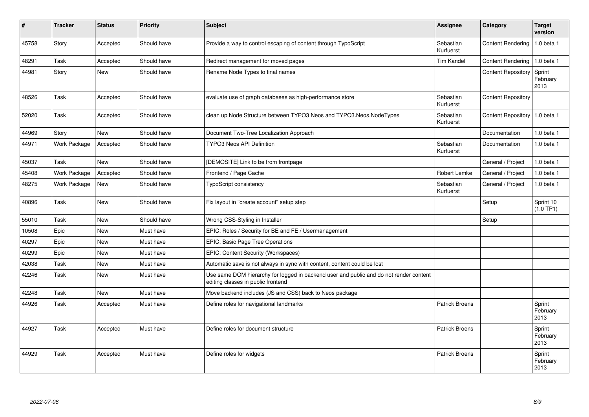| ∦     | <b>Tracker</b>      | <b>Status</b> | <b>Priority</b> | <b>Subject</b>                                                                                                               | <b>Assignee</b>        | Category                        | <b>Target</b><br>version   |
|-------|---------------------|---------------|-----------------|------------------------------------------------------------------------------------------------------------------------------|------------------------|---------------------------------|----------------------------|
| 45758 | Story               | Accepted      | Should have     | Provide a way to control escaping of content through TypoScript                                                              | Sebastian<br>Kurfuerst | <b>Content Rendering</b>        | 1.0 beta 1                 |
| 48291 | Task                | Accepted      | Should have     | Redirect management for moved pages                                                                                          | <b>Tim Kandel</b>      | <b>Content Rendering</b>        | $1.0$ beta 1               |
| 44981 | Story               | <b>New</b>    | Should have     | Rename Node Types to final names                                                                                             |                        | <b>Content Repository</b>       | Sprint<br>February<br>2013 |
| 48526 | Task                | Accepted      | Should have     | evaluate use of graph databases as high-performance store                                                                    | Sebastian<br>Kurfuerst | <b>Content Repository</b>       |                            |
| 52020 | Task                | Accepted      | Should have     | clean up Node Structure between TYPO3 Neos and TYPO3.Neos.NodeTypes                                                          | Sebastian<br>Kurfuerst | Content Repository   1.0 beta 1 |                            |
| 44969 | Story               | New           | Should have     | Document Two-Tree Localization Approach                                                                                      |                        | Documentation                   | 1.0 beta 1                 |
| 44971 | <b>Work Package</b> | Accepted      | Should have     | <b>TYPO3 Neos API Definition</b>                                                                                             | Sebastian<br>Kurfuerst | Documentation                   | $1.0$ beta $1$             |
| 45037 | Task                | <b>New</b>    | Should have     | [DEMOSITE] Link to be from frontpage                                                                                         |                        | General / Project               | 1.0 beta 1                 |
| 45408 | Work Package        | Accepted      | Should have     | Frontend / Page Cache                                                                                                        | Robert Lemke           | General / Project               | 1.0 beta 1                 |
| 48275 | Work Package        | New           | Should have     | <b>TypoScript consistency</b>                                                                                                | Sebastian<br>Kurfuerst | General / Project               | 1.0 beta 1                 |
| 40896 | Task                | <b>New</b>    | Should have     | Fix layout in "create account" setup step                                                                                    |                        | Setup                           | Sprint 10<br>(1.0 TP1)     |
| 55010 | Task                | <b>New</b>    | Should have     | Wrong CSS-Styling in Installer                                                                                               |                        | Setup                           |                            |
| 10508 | Epic                | <b>New</b>    | Must have       | EPIC: Roles / Security for BE and FE / Usermanagement                                                                        |                        |                                 |                            |
| 40297 | Epic                | New           | Must have       | <b>EPIC: Basic Page Tree Operations</b>                                                                                      |                        |                                 |                            |
| 40299 | Epic                | <b>New</b>    | Must have       | EPIC: Content Security (Workspaces)                                                                                          |                        |                                 |                            |
| 42038 | Task                | <b>New</b>    | Must have       | Automatic save is not always in sync with content, content could be lost                                                     |                        |                                 |                            |
| 42246 | Task                | <b>New</b>    | Must have       | Use same DOM hierarchy for logged in backend user and public and do not render content<br>editing classes in public frontend |                        |                                 |                            |
| 42248 | Task                | <b>New</b>    | Must have       | Move backend includes (JS and CSS) back to Neos package                                                                      |                        |                                 |                            |
| 44926 | Task                | Accepted      | Must have       | Define roles for navigational landmarks                                                                                      | <b>Patrick Broens</b>  |                                 | Sprint<br>February<br>2013 |
| 44927 | Task                | Accepted      | Must have       | Define roles for document structure                                                                                          | <b>Patrick Broens</b>  |                                 | Sprint<br>February<br>2013 |
| 44929 | Task                | Accepted      | Must have       | Define roles for widgets                                                                                                     | <b>Patrick Broens</b>  |                                 | Sprint<br>February<br>2013 |